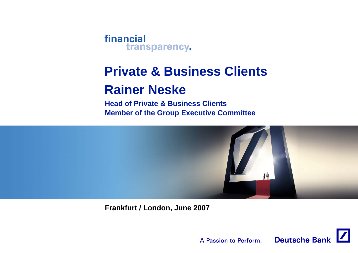

# **Private & Business ClientsRainer Neske**

**Head of Private & Business ClientsMember of the Group Executive Committee**



**Frankfurt / London, June 2007**

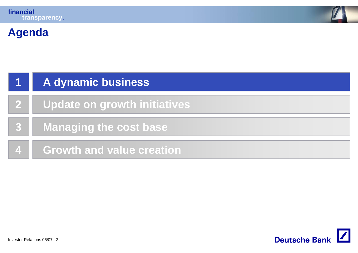

# **Agenda**

|                | A dynamic business                  |
|----------------|-------------------------------------|
| $\mathbf{2}^-$ | <b>Update on growth initiatives</b> |
|                | <b>Managing the cost base</b>       |
| $\mathbf{A}$   | <b>Growth and value creation</b>    |

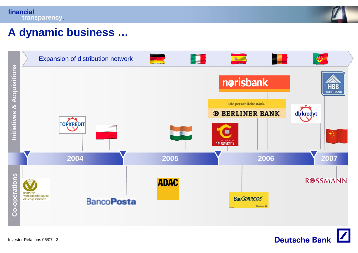



## **A dynamic business …**



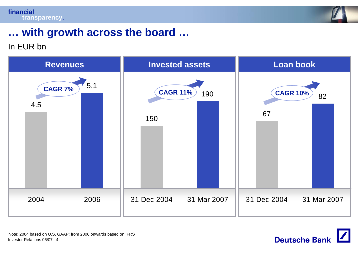



# **… with growth across the board …**

### In EUR bn



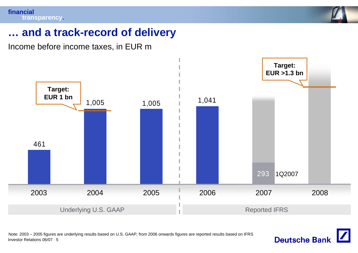

## **… and a track-record of delivery**

Income before income taxes, in EUR m



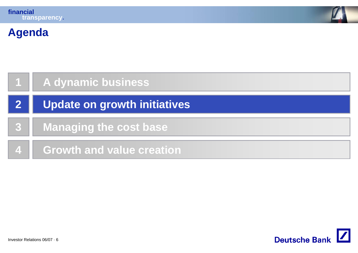

# **Agenda**

| A dynamic business                  |  |
|-------------------------------------|--|
| <b>Update on growth initiatives</b> |  |
| <b>Managing the cost base</b>       |  |
| <b>Growth and value creation</b>    |  |

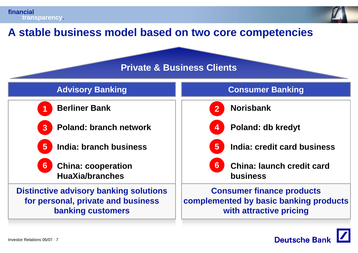



## **A stable business model based on two core competencies**

### **Private & Business Clients**



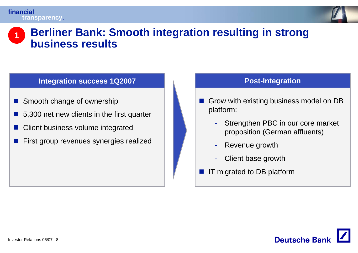

### **Berliner Bank: Smooth integration resulting in strong business results1**

### **Integration success 1Q2007**

- T. Smooth change of ownership
- 5,300 net new clients in the first quarter
- T Client business volume integrated
- T First group revenues synergies realized

### **Post-Integration**

- Grow with existing business model on DB platform:
	- Strengthen PBC in our core market proposition (German affluents)
	- Revenue growth
	- -Client base growth
- IT migrated to DB platform

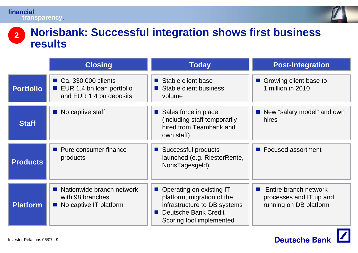

### **Norisbank: Successful integration shows first business results 2**

|                  | <b>Closing</b>                                                                       | <b>Today</b>                                                                                                                                      | <b>Post-Integration</b>                                                                |
|------------------|--------------------------------------------------------------------------------------|---------------------------------------------------------------------------------------------------------------------------------------------------|----------------------------------------------------------------------------------------|
| <b>Portfolio</b> | ■ Ca. 330,000 clients<br><b>EUR 1.4 bn loan portfolio</b><br>and EUR 1.4 bn deposits | Stable client base<br>$\sim 1$<br>Stable client business<br>volume                                                                                | Growing client base to<br>$\mathcal{L}^{\text{max}}_{\text{max}}$<br>1 million in 2010 |
| <b>Staff</b>     | $\blacksquare$ No captive staff                                                      | Sales force in place<br>(including staff temporarily<br>hired from Teambank and<br>own staff)                                                     | New "salary model" and own<br>hires                                                    |
| <b>Products</b>  | <b>Pure consumer finance</b><br>products                                             | ■ Successful products<br>launched (e.g. RiesterRente,<br>NorisTagesgeld)                                                                          | ■ Focused assortment                                                                   |
| <b>Platform</b>  | Nationwide branch network<br>with 98 branches<br>■ No captive IT platform            | Operating on existing IT<br>platform, migration of the<br>infrastructure to DB systems<br><b>Deutsche Bank Credit</b><br>Scoring tool implemented | Entire branch network<br>$\sim$<br>processes and IT up and<br>running on DB platform   |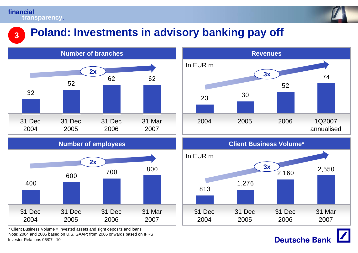**3**



# **Poland: Investments in advisory banking pay off**



Investor Relations 06/07 · 10\* Client Business Volume = Invested assets and sight deposits and loans Note: 2004 and 2005 based on U.S. GAAP; from 2006 onwards based on IFRS





**Deutsche Bank**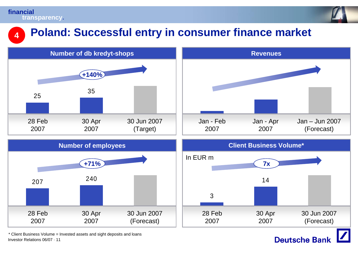**4**



# **Poland: Successful entry in consumer finance market**



Investor Relations 06/07 · 11\* Client Business Volume = Invested assets and sight deposits and loans

### **Deutsche Bank**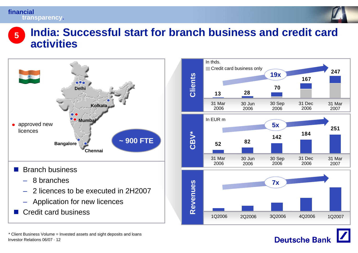

### **India: Successful start for branch business and credit card activities5**



- Application for new licences
- a sa Credit card business





Investor Relations 06/07 · 12\* Client Business Volume = Invested assets and sight deposits and loans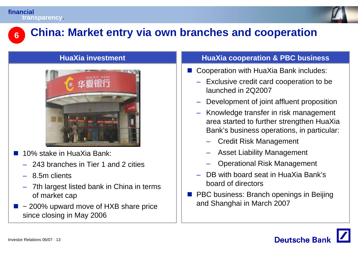

### **China: Market entry via own branches and cooperation 6**

### **HuaXia investment**



- $\mathbb{R}^3$  10% stake in HuaXia Bank:
	- 243 branches in Tier 1 and 2 cities
	- –8.5m clients
	- – 7th largest listed bank in China in terms of market cap
- $\blacksquare$  ~ 200% upward move of HXB share price since closing in May 2006

### **HuaXia cooperation & PBC business**

- Cooperation with HuaXia Bank includes:
	- Exclusive credit card cooperation to be launched in 2Q2007
	- Development of joint affluent proposition
	- Knowledge transfer in risk management area started to further strengthen HuaXia Bank's business operations, in particular:
		- Credit Risk Management
		- Asset Liability Management
		- Operational Risk Management
	- – DB with board seat in HuaXia Bank's board of directors
- **PBC business: Branch openings in Beijing** and Shanghai in March 2007

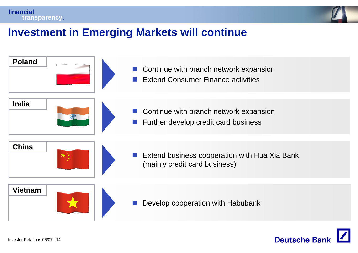



# **Investment in Emerging Markets will continue**



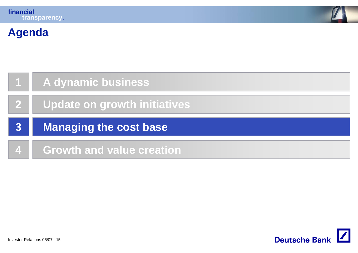

# **Agenda**

|   | A dynamic business           |  |
|---|------------------------------|--|
|   | Update on growth initiatives |  |
|   | Managing the cost base       |  |
| 3 |                              |  |

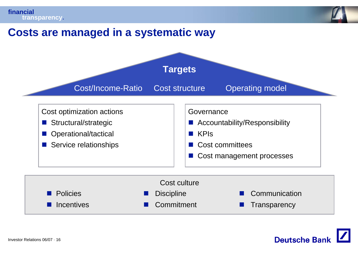

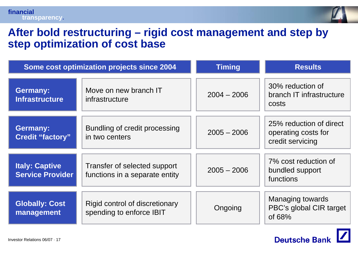

**Deutsche Bank** 

## **After bold restructuring – rigid cost management and step by step optimization of cost base**

| Some cost optimization projects since 2004       |                                                                | <b>Timing</b> | <b>Results</b>                                                     |
|--------------------------------------------------|----------------------------------------------------------------|---------------|--------------------------------------------------------------------|
| <b>Germany:</b><br><b>Infrastructure</b>         | Move on new branch IT<br>infrastructure                        | $2004 - 2006$ | 30% reduction of<br>branch IT infrastructure<br>costs              |
| <b>Germany:</b><br><b>Credit "factory"</b>       | Bundling of credit processing<br>in two centers                | $2005 - 2006$ | 25% reduction of direct<br>operating costs for<br>credit servicing |
| <b>Italy: Captive</b><br><b>Service Provider</b> | Transfer of selected support<br>functions in a separate entity | $2005 - 2006$ | 7% cost reduction of<br>bundled support<br>functions               |
| <b>Globally: Cost</b><br>management              | Rigid control of discretionary<br>spending to enforce IBIT     | Ongoing       | <b>Managing towards</b><br>PBC's global CIR target<br>of 68%       |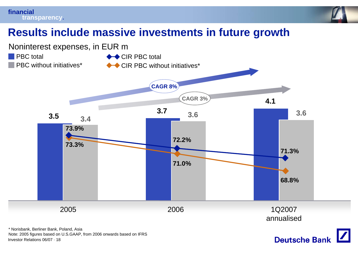



## **Results include massive investments in future growth**



Investor Relations 06/07 · 18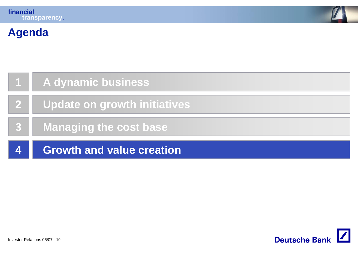

# **Agenda**

|            | A dynamic business               |
|------------|----------------------------------|
|            | Update on growth initiatives     |
| <b>737</b> | <b>Managing the cost base</b>    |
| 4          | <b>Growth and value creation</b> |

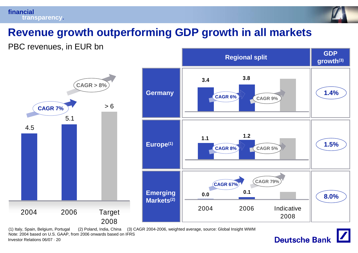



# **Revenue growth outperforming GDP growth in all markets**

PBC revenues, in EUR bn



Investor Relations 06/07 · 20(1) Italy, Spain, Belgium, Portugal (2) Poland, India, China (3) CAGR 2004-2006, weighted average, source: Global Insight WWM Note: 2004 based on U.S. GAAP, from 2006 onwards based on IFRS

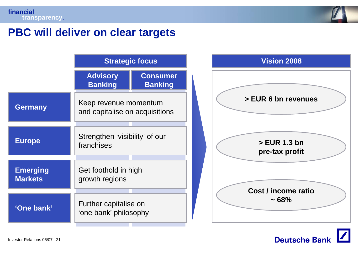

## **PBC will deliver on clear targets**

|                                   | <b>Strategic focus</b>                                  |                                   |
|-----------------------------------|---------------------------------------------------------|-----------------------------------|
|                                   | <b>Advisory</b><br><b>Banking</b>                       | <b>Consumer</b><br><b>Banking</b> |
| <b>Germany</b>                    | Keep revenue momentum<br>and capitalise on acquisitions |                                   |
| <b>Europe</b>                     | Strengthen 'visibility' of our<br>franchises            |                                   |
| <b>Emerging</b><br><b>Markets</b> | Get foothold in high<br>growth regions                  |                                   |
|                                   | Further capitalise on<br>'one bank' philosophy          |                                   |
| 'One bank'                        |                                                         |                                   |